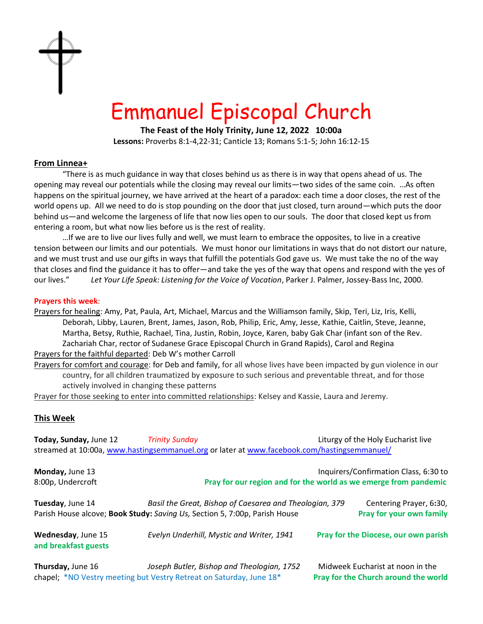

# Emmanuel Episcopal Church

**The Feast of the Holy Trinity, June 12, 2022 10:00a**

**Lessons:** Proverbs 8:1-4,22-31; Canticle 13; Romans 5:1-5; John 16:12-15

## **From Linnea+**

"There is as much guidance in way that closes behind us as there is in way that opens ahead of us. The opening may reveal our potentials while the closing may reveal our limits—two sides of the same coin. …As often happens on the spiritual journey, we have arrived at the heart of a paradox: each time a door closes, the rest of the world opens up. All we need to do is stop pounding on the door that just closed, turn around—which puts the door behind us—and welcome the largeness of life that now lies open to our souls. The door that closed kept us from entering a room, but what now lies before us is the rest of reality.

…If we are to live our lives fully and well, we must learn to embrace the opposites, to live in a creative tension between our limits and our potentials. We must honor our limitations in ways that do not distort our nature, and we must trust and use our gifts in ways that fulfill the potentials God gave us. We must take the no of the way that closes and find the guidance it has to offer—and take the yes of the way that opens and respond with the yes of our lives." *Let Your Life Speak: Listening for the Voice of Vocation*, Parker J. Palmer, Jossey-Bass Inc, 2000.

### **Prayers this week**:

- Prayers for healing: Amy, Pat, Paula, Art, Michael, Marcus and the Williamson family, Skip, Teri, Liz, Iris, Kelli, Deborah, Libby, Lauren, Brent, James, Jason, Rob, Philip, Eric, Amy, Jesse, Kathie, Caitlin, Steve, Jeanne, Martha, Betsy, Ruthie, Rachael, Tina, Justin, Robin, Joyce, Karen, baby Gak Char (infant son of the Rev. Zachariah Char, rector of Sudanese Grace Episcopal Church in Grand Rapids), Carol and Regina Prayers for the faithful departed: Deb W's mother Carroll
- Prayers for comfort and courage: for Deb and family, for all whose lives have been impacted by gun violence in our country, for all children traumatized by exposure to such serious and preventable threat, and for those actively involved in changing these patterns

Prayer for those seeking to enter into committed relationships: Kelsey and Kassie, Laura and Jeremy.

### **This Week**

| Today, Sunday, June 12                     | <b>Trinity Sunday</b>                                                                                                                 | Liturgy of the Holy Eucharist live                                       |
|--------------------------------------------|---------------------------------------------------------------------------------------------------------------------------------------|--------------------------------------------------------------------------|
|                                            | streamed at 10:00a, www.hastingsemmanuel.org or later at www.facebook.com/hastingsemmanuel/                                           |                                                                          |
| Monday, June 13                            |                                                                                                                                       | Inquirers/Confirmation Class, 6:30 to                                    |
| 8:00p, Undercroft                          | Pray for our region and for the world as we emerge from pandemic                                                                      |                                                                          |
| Tuesday, June 14                           | Basil the Great, Bishop of Caesarea and Theologian, 379<br>Parish House alcove; Book Study: Saving Us, Section 5, 7:00p, Parish House | Centering Prayer, 6:30,<br>Pray for your own family                      |
| Wednesday, June 15<br>and breakfast guests | Evelyn Underhill, Mystic and Writer, 1941                                                                                             | Pray for the Diocese, our own parish                                     |
| Thursday, June 16                          | Joseph Butler, Bishop and Theologian, 1752<br>chapel; *NO Vestry meeting but Vestry Retreat on Saturday, June 18*                     | Midweek Eucharist at noon in the<br>Pray for the Church around the world |